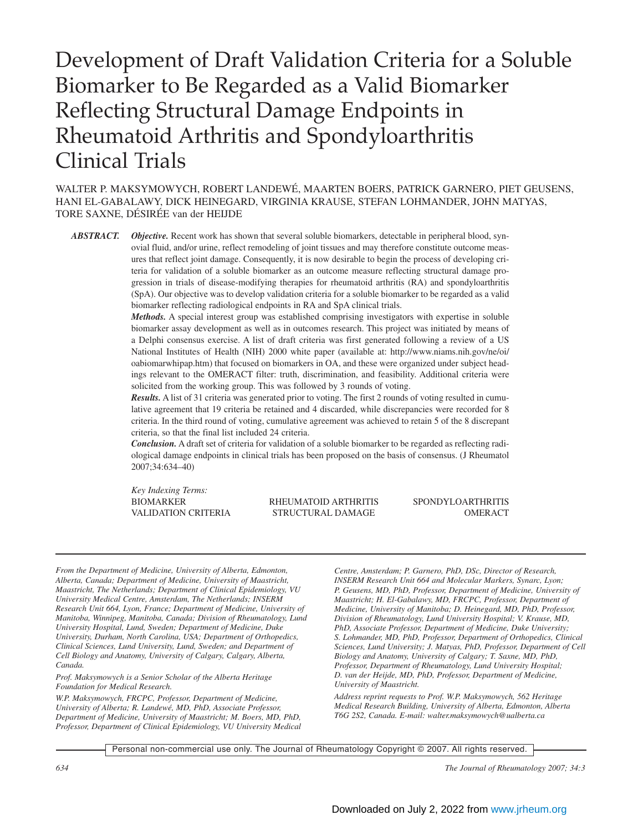# Development of Draft Validation Criteria for a Soluble Biomarker to Be Regarded as a Valid Biomarker Reflecting Structural Damage Endpoints in Rheumatoid Arthritis and Spondyloarthritis Clinical Trials

WALTER P. MAKSYMOWYCH, ROBERT LANDEWÉ, MAARTEN BOERS, PATRICK GARNERO, PIET GEUSENS, HANI EL-GABALAWY, DICK HEINEGARD, VIRGINIA KRAUSE, STEFAN LOHMANDER, JOHN MATYAS, TORE SAXNE, DÉSIRÉE van der HEIJDE

*ABSTRACT. Objective.* Recent work has shown that several soluble biomarkers, detectable in peripheral blood, synovial fluid, and/or urine, reflect remodeling of joint tissues and may therefore constitute outcome measures that reflect joint damage. Consequently, it is now desirable to begin the process of developing criteria for validation of a soluble biomarker as an outcome measure reflecting structural damage progression in trials of disease-modifying therapies for rheumatoid arthritis (RA) and spondyloarthritis (SpA). Our objective was to develop validation criteria for a soluble biomarker to be regarded as a valid biomarker reflecting radiological endpoints in RA and SpA clinical trials.

> *Methods.* A special interest group was established comprising investigators with expertise in soluble biomarker assay development as well as in outcomes research. This project was initiated by means of a Delphi consensus exercise. A list of draft criteria was first generated following a review of a US National Institutes of Health (NIH) 2000 white paper (available at: http://www.niams.nih.gov/ne/oi/ oabiomarwhipap.htm) that focused on biomarkers in OA, and these were organized under subject headings relevant to the OMERACT filter: truth, discrimination, and feasibility. Additional criteria were solicited from the working group. This was followed by 3 rounds of voting.

> *Results.* A list of 31 criteria was generated prior to voting. The first 2 rounds of voting resulted in cumulative agreement that 19 criteria be retained and 4 discarded, while discrepancies were recorded for 8 criteria. In the third round of voting, cumulative agreement was achieved to retain 5 of the 8 discrepant criteria, so that the final list included 24 criteria.

> *Conclusion.* A draft set of criteria for validation of a soluble biomarker to be regarded as reflecting radiological damage endpoints in clinical trials has been proposed on the basis of consensus. (J Rheumatol 2007;34:634–40)

*Key Indexing Terms:*

BIOMARKER RHEUMATOID ARTHRITIS SPONDYLOARTHRITIS VALIDATION CRITERIA STRUCTURAL DAMAGE OMERACT

*From the Department of Medicine, University of Alberta, Edmonton, Alberta, Canada; Department of Medicine, University of Maastricht, Maastricht, The Netherlands; Department of Clinical Epidemiology, VU University Medical Centre, Amsterdam, The Netherlands; INSERM Research Unit 664, Lyon, France; Department of Medicine, University of Manitoba, Winnipeg, Manitoba, Canada; Division of Rheumatology, Lund University Hospital, Lund, Sweden; Department of Medicine, Duke University, Durham, North Carolina, USA; Department of Orthopedics, Clinical Sciences, Lund University, Lund, Sweden; and Department of Cell Biology and Anatomy, University of Calgary, Calgary, Alberta, Canada.*

*Prof. Maksymowych is a Senior Scholar of the Alberta Heritage Foundation for Medical Research.*

*W.P. Maksymowych, FRCPC, Professor, Department of Medicine, University of Alberta; R. Landewé, MD, PhD, Associate Professor, Department of Medicine, University of Maastricht; M. Boers, MD, PhD, Professor, Department of Clinical Epidemiology, VU University Medical* *Centre, Amsterdam; P. Garnero, PhD, DSc, Director of Research, INSERM Research Unit 664 and Molecular Markers, Synarc, Lyon; P. Geusens, MD, PhD, Professor, Department of Medicine, University of Maastricht; H. El-Gabalawy, MD, FRCPC, Professor, Department of Medicine, University of Manitoba; D. Heinegard, MD, PhD, Professor, Division of Rheumatology, Lund University Hospital; V. Krause, MD, PhD, Associate Professor, Department of Medicine, Duke University; S. Lohmander, MD, PhD, Professor, Department of Orthopedics, Clinical Sciences, Lund University; J. Matyas, PhD, Professor, Department of Cell Biology and Anatomy, University of Calgary; T. Saxne, MD, PhD, Professor, Department of Rheumatology, Lund University Hospital; D. van der Heijde, MD, PhD, Professor, Department of Medicine, University of Maastricht.*

*Address reprint requests to Prof. W.P. Maksymowych, 562 Heritage Medical Research Building, University of Alberta, Edmonton, Alberta T6G 2S2, Canada. E-mail: walter.maksymowych@ualberta.ca*

Personal non-commercial use only. The Journal of Rheumatology Copyright © 2007. All rights reserved.

*634 The Journal of Rheumatology 2007; 34:3*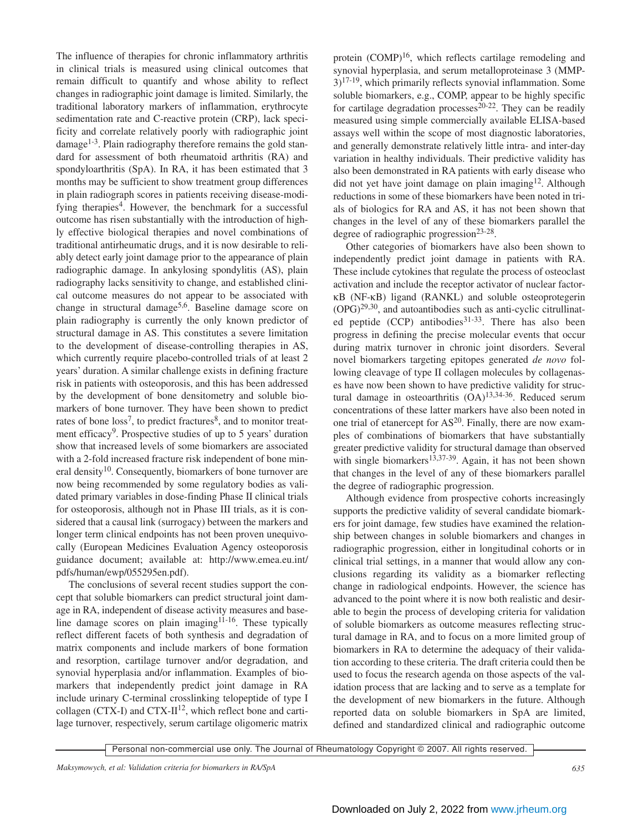The influence of therapies for chronic inflammatory arthritis in clinical trials is measured using clinical outcomes that remain difficult to quantify and whose ability to reflect changes in radiographic joint damage is limited. Similarly, the traditional laboratory markers of inflammation, erythrocyte sedimentation rate and C-reactive protein (CRP), lack specificity and correlate relatively poorly with radiographic joint damage<sup>1-3</sup>. Plain radiography therefore remains the gold standard for assessment of both rheumatoid arthritis (RA) and spondyloarthritis (SpA). In RA, it has been estimated that 3 months may be sufficient to show treatment group differences in plain radiograph scores in patients receiving disease-modifying therapies<sup>4</sup>. However, the benchmark for a successful outcome has risen substantially with the introduction of highly effective biological therapies and novel combinations of traditional antirheumatic drugs, and it is now desirable to reliably detect early joint damage prior to the appearance of plain radiographic damage. In ankylosing spondylitis (AS), plain radiography lacks sensitivity to change, and established clinical outcome measures do not appear to be associated with change in structural damage<sup>5,6</sup>. Baseline damage score on plain radiography is currently the only known predictor of structural damage in AS. This constitutes a severe limitation to the development of disease-controlling therapies in AS, which currently require placebo-controlled trials of at least 2 years' duration. A similar challenge exists in defining fracture risk in patients with osteoporosis, and this has been addressed by the development of bone densitometry and soluble biomarkers of bone turnover. They have been shown to predict rates of bone  $loss^7$ , to predict fractures<sup>8</sup>, and to monitor treatment efficacy<sup>9</sup>. Prospective studies of up to 5 years' duration show that increased levels of some biomarkers are associated with a 2-fold increased fracture risk independent of bone mineral density<sup>10</sup>. Consequently, biomarkers of bone turnover are now being recommended by some regulatory bodies as validated primary variables in dose-finding Phase II clinical trials for osteoporosis, although not in Phase III trials, as it is considered that a causal link (surrogacy) between the markers and longer term clinical endpoints has not been proven unequivocally (European Medicines Evaluation Agency osteoporosis guidance document; available at: http://www.emea.eu.int/ pdfs/human/ewp/055295en.pdf).

The conclusions of several recent studies support the concept that soluble biomarkers can predict structural joint damage in RA, independent of disease activity measures and baseline damage scores on plain imaging $11-16$ . These typically reflect different facets of both synthesis and degradation of matrix components and include markers of bone formation and resorption, cartilage turnover and/or degradation, and synovial hyperplasia and/or inflammation. Examples of biomarkers that independently predict joint damage in RA include urinary C-terminal crosslinking telopeptide of type I collagen (CTX-I) and CTX- $II^{12}$ , which reflect bone and cartilage turnover, respectively, serum cartilage oligomeric matrix

protein (COMP)<sup>16</sup>, which reflects cartilage remodeling and synovial hyperplasia, and serum metalloproteinase 3 (MMP- $3$ )<sup>17-19</sup>, which primarily reflects synovial inflammation. Some soluble biomarkers, e.g., COMP, appear to be highly specific for cartilage degradation processes<sup>20-22</sup>. They can be readily measured using simple commercially available ELISA-based assays well within the scope of most diagnostic laboratories, and generally demonstrate relatively little intra- and inter-day variation in healthy individuals. Their predictive validity has also been demonstrated in RA patients with early disease who did not yet have joint damage on plain imaging12. Although reductions in some of these biomarkers have been noted in trials of biologics for RA and AS, it has not been shown that changes in the level of any of these biomarkers parallel the degree of radiographic progression<sup>23-28</sup>.

Other categories of biomarkers have also been shown to independently predict joint damage in patients with RA. These include cytokines that regulate the process of osteoclast activation and include the receptor activator of nuclear factorκB (NF-κB) ligand (RANKL) and soluble osteoprotegerin  $(OPG)^{29,30}$ , and autoantibodies such as anti-cyclic citrullinated peptide (CCP) antibodies<sup>31-33</sup>. There has also been progress in defining the precise molecular events that occur during matrix turnover in chronic joint disorders. Several novel biomarkers targeting epitopes generated *de novo* following cleavage of type II collagen molecules by collagenases have now been shown to have predictive validity for structural damage in osteoarthritis  $(OA)^{13,34-36}$ . Reduced serum concentrations of these latter markers have also been noted in one trial of etanercept for AS<sup>20</sup>. Finally, there are now examples of combinations of biomarkers that have substantially greater predictive validity for structural damage than observed with single biomarkers<sup>13,37-39</sup>. Again, it has not been shown that changes in the level of any of these biomarkers parallel the degree of radiographic progression.

Although evidence from prospective cohorts increasingly supports the predictive validity of several candidate biomarkers for joint damage, few studies have examined the relationship between changes in soluble biomarkers and changes in radiographic progression, either in longitudinal cohorts or in clinical trial settings, in a manner that would allow any conclusions regarding its validity as a biomarker reflecting change in radiological endpoints. However, the science has advanced to the point where it is now both realistic and desirable to begin the process of developing criteria for validation of soluble biomarkers as outcome measures reflecting structural damage in RA, and to focus on a more limited group of biomarkers in RA to determine the adequacy of their validation according to these criteria. The draft criteria could then be used to focus the research agenda on those aspects of the validation process that are lacking and to serve as a template for the development of new biomarkers in the future. Although reported data on soluble biomarkers in SpA are limited, defined and standardized clinical and radiographic outcome

Personal non-commercial use only. The Journal of Rheumatology Copyright © 2007. All rights reserved.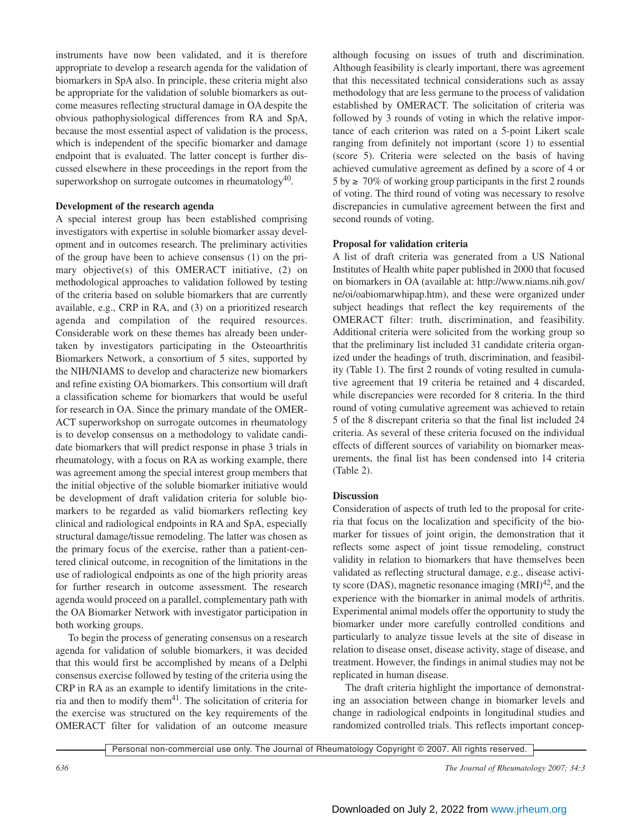instruments have now been validated, and it is therefore appropriate to develop a research agenda for the validation of biomarkers in SpA also. In principle, these criteria might also be appropriate for the validation of soluble biomarkers as outcome measures reflecting structural damage in OA despite the obvious pathophysiological differences from RA and SpA, because the most essential aspect of validation is the process, which is independent of the specific biomarker and damage endpoint that is evaluated. The latter concept is further discussed elsewhere in these proceedings in the report from the superworkshop on surrogate outcomes in rheumatology<sup>40</sup>.

## **Development of the research agenda**

A special interest group has been established comprising investigators with expertise in soluble biomarker assay development and in outcomes research. The preliminary activities of the group have been to achieve consensus (1) on the primary objective(s) of this OMERACT initiative, (2) on methodological approaches to validation followed by testing of the criteria based on soluble biomarkers that are currently available, e.g., CRP in RA, and (3) on a prioritized research agenda and compilation of the required resources. Considerable work on these themes has already been undertaken by investigators participating in the Osteoarthritis Biomarkers Network, a consortium of 5 sites, supported by the NIH/NIAMS to develop and characterize new biomarkers and refine existing OA biomarkers. This consortium will draft a classification scheme for biomarkers that would be useful for research in OA. Since the primary mandate of the OMER-ACT superworkshop on surrogate outcomes in rheumatology is to develop consensus on a methodology to validate candidate biomarkers that will predict response in phase 3 trials in rheumatology, with a focus on RA as working example, there was agreement among the special interest group members that the initial objective of the soluble biomarker initiative would be development of draft validation criteria for soluble biomarkers to be regarded as valid biomarkers reflecting key clinical and radiological endpoints in RA and SpA, especially structural damage/tissue remodeling. The latter was chosen as the primary focus of the exercise, rather than a patient-centered clinical outcome, in recognition of the limitations in the use of radiological endpoints as one of the high priority areas for further research in outcome assessment. The research agenda would proceed on a parallel, complementary path with the OA Biomarker Network with investigator participation in both working groups.

To begin the process of generating consensus on a research agenda for validation of soluble biomarkers, it was decided that this would first be accomplished by means of a Delphi consensus exercise followed by testing of the criteria using the CRP in RA as an example to identify limitations in the criteria and then to modify them<sup>41</sup>. The solicitation of criteria for the exercise was structured on the key requirements of the OMERACT filter for validation of an outcome measure

although focusing on issues of truth and discrimination. Although feasibility is clearly important, there was agreement that this necessitated technical considerations such as assay methodology that are less germane to the process of validation established by OMERACT. The solicitation of criteria was followed by 3 rounds of voting in which the relative importance of each criterion was rated on a 5-point Likert scale ranging from definitely not important (score 1) to essential (score 5). Criteria were selected on the basis of having achieved cumulative agreement as defined by a score of 4 or  $5 \text{ by } \geq 70\%$  of working group participants in the first 2 rounds of voting. The third round of voting was necessary to resolve discrepancies in cumulative agreement between the first and second rounds of voting.

# **Proposal for validation criteria**

A list of draft criteria was generated from a US National Institutes of Health white paper published in 2000 that focused on biomarkers in OA (available at: http://www.niams.nih.gov/ ne/oi/oabiomarwhipap.htm), and these were organized under subject headings that reflect the key requirements of the OMERACT filter: truth, discrimination, and feasibility. Additional criteria were solicited from the working group so that the preliminary list included 31 candidate criteria organized under the headings of truth, discrimination, and feasibility (Table 1). The first 2 rounds of voting resulted in cumulative agreement that 19 criteria be retained and 4 discarded, while discrepancies were recorded for 8 criteria. In the third round of voting cumulative agreement was achieved to retain 5 of the 8 discrepant criteria so that the final list included 24 criteria. As several of these criteria focused on the individual effects of different sources of variability on biomarker measurements, the final list has been condensed into 14 criteria (Table 2).

## **Discussion**

Consideration of aspects of truth led to the proposal for criteria that focus on the localization and specificity of the biomarker for tissues of joint origin, the demonstration that it reflects some aspect of joint tissue remodeling, construct validity in relation to biomarkers that have themselves been validated as reflecting structural damage, e.g., disease activity score (DAS), magnetic resonance imaging  $(MRI)^{42}$ , and the experience with the biomarker in animal models of arthritis. Experimental animal models offer the opportunity to study the biomarker under more carefully controlled conditions and particularly to analyze tissue levels at the site of disease in relation to disease onset, disease activity, stage of disease, and treatment. However, the findings in animal studies may not be replicated in human disease.

The draft criteria highlight the importance of demonstrating an association between change in biomarker levels and change in radiological endpoints in longitudinal studies and randomized controlled trials. This reflects important concep-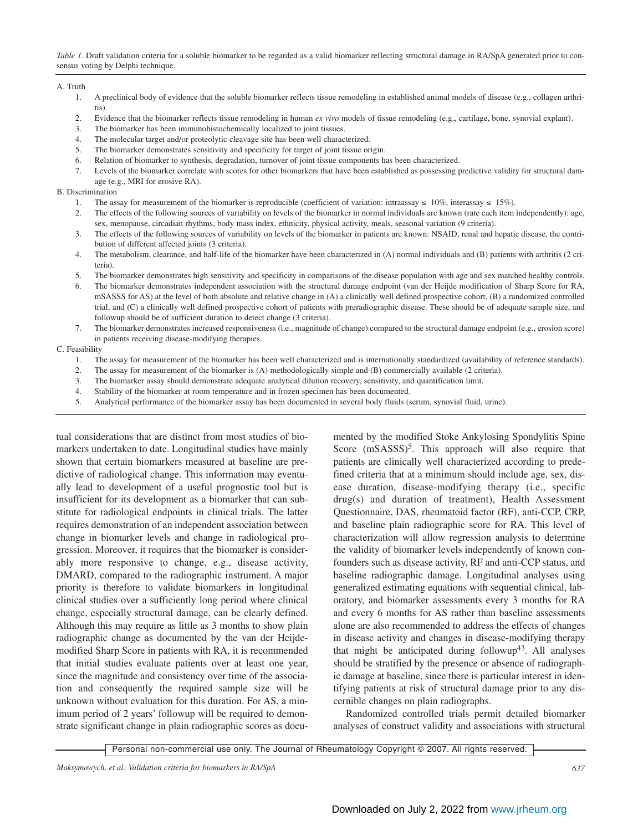*Table 1.* Draft validation criteria for a soluble biomarker to be regarded as a valid biomarker reflecting structural damage in RA/SpA generated prior to consensus voting by Delphi technique.

### A. Truth

- 1. A preclinical body of evidence that the soluble biomarker reflects tissue remodeling in established animal models of disease (e.g., collagen arthritis).
- 2. Evidence that the biomarker reflects tissue remodeling in human *ex vivo* models of tissue remodeling (e.g., cartilage, bone, synovial explant).
- 3. The biomarker has been immunohistochemically localized to joint tissues.
- 4. The molecular target and/or proteolytic cleavage site has been well characterized.
- 5. The biomarker demonstrates sensitivity and specificity for target of joint tissue origin.
- 6. Relation of biomarker to synthesis, degradation, turnover of joint tissue components has been characterized.
- 7. Levels of the biomarker correlate with scores for other biomarkers that have been established as possessing predictive validity for structural damage (e.g., MRI for erosive RA).

## B. Discrimination

- 1. The assay for measurement of the biomarker is reproducible (coefficient of variation: intraassay  $\leq 10\%$ , interassay  $\leq 15\%$ ).
- 2. The effects of the following sources of variability on levels of the biomarker in normal individuals are known (rate each item independently): age, sex, menopause, circadian rhythms, body mass index, ethnicity, physical activity, meals, seasonal variation (9 criteria).
- 3. The effects of the following sources of variability on levels of the biomarker in patients are known: NSAID, renal and hepatic disease, the contribution of different affected joints (3 criteria).
- 4. The metabolism, clearance, and half-life of the biomarker have been characterized in (A) normal individuals and (B) patients with arthritis (2 criteria).
- 5. The biomarker demonstrates high sensitivity and specificity in comparisons of the disease population with age and sex matched healthy controls.
- 6. The biomarker demonstrates independent association with the structural damage endpoint (van der Heijde modification of Sharp Score for RA, mSASSS for AS) at the level of both absolute and relative change in (A) a clinically well defined prospective cohort, (B) a randomized controlled trial, and (C) a clinically well defined prospective cohort of patients with preradiographic disease. These should be of adequate sample size, and followup should be of sufficient duration to detect change (3 criteria).
- 7. The biomarker demonstrates increased responsiveness (i.e., magnitude of change) compared to the structural damage endpoint (e.g., erosion score) in patients receiving disease-modifying therapies.

#### C. Feasibility

- 1. The assay for measurement of the biomarker has been well characterized and is internationally standardized (availability of reference standards).
- 2. The assay for measurement of the biomarker is (A) methodologically simple and (B) commercially available (2 criteria).
- 3. The biomarker assay should demonstrate adequate analytical dilution recovery, sensitivity, and quantification limit.
- 4. Stability of the biomarker at room temperature and in frozen specimen has been documented.
- 5. Analytical performance of the biomarker assay has been documented in several body fluids (serum, synovial fluid, urine).

tual considerations that are distinct from most studies of biomarkers undertaken to date. Longitudinal studies have mainly shown that certain biomarkers measured at baseline are predictive of radiological change. This information may eventually lead to development of a useful prognostic tool but is insufficient for its development as a biomarker that can substitute for radiological endpoints in clinical trials. The latter requires demonstration of an independent association between change in biomarker levels and change in radiological progression. Moreover, it requires that the biomarker is considerably more responsive to change, e.g., disease activity, DMARD, compared to the radiographic instrument. A major priority is therefore to validate biomarkers in longitudinal clinical studies over a sufficiently long period where clinical change, especially structural damage, can be clearly defined. Although this may require as little as 3 months to show plain radiographic change as documented by the van der Heijdemodified Sharp Score in patients with RA, it is recommended that initial studies evaluate patients over at least one year, since the magnitude and consistency over time of the association and consequently the required sample size will be unknown without evaluation for this duration. For AS, a minimum period of 2 years' followup will be required to demonstrate significant change in plain radiographic scores as docu-

mented by the modified Stoke Ankylosing Spondylitis Spine Score  $(mSASSS)<sup>5</sup>$ . This approach will also require that patients are clinically well characterized according to predefined criteria that at a minimum should include age, sex, disease duration, disease-modifying therapy (i.e., specific drug(s) and duration of treatment), Health Assessment Questionnaire, DAS, rheumatoid factor (RF), anti-CCP, CRP, and baseline plain radiographic score for RA. This level of characterization will allow regression analysis to determine the validity of biomarker levels independently of known confounders such as disease activity, RF and anti-CCP status, and baseline radiographic damage. Longitudinal analyses using generalized estimating equations with sequential clinical, laboratory, and biomarker assessments every 3 months for RA and every 6 months for AS rather than baseline assessments alone are also recommended to address the effects of changes in disease activity and changes in disease-modifying therapy that might be anticipated during followup<sup>43</sup>. All analyses should be stratified by the presence or absence of radiographic damage at baseline, since there is particular interest in identifying patients at risk of structural damage prior to any discernible changes on plain radiographs.

Randomized controlled trials permit detailed biomarker analyses of construct validity and associations with structural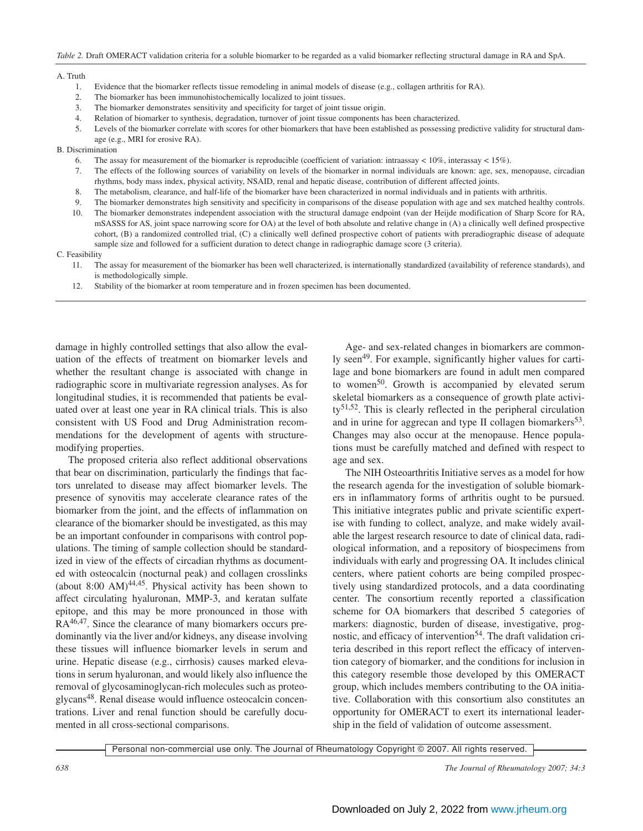#### A. Truth

- 1. Evidence that the biomarker reflects tissue remodeling in animal models of disease (e.g., collagen arthritis for RA).
- 2. The biomarker has been immunohistochemically localized to joint tissues.
- 3. The biomarker demonstrates sensitivity and specificity for target of joint tissue origin.
- 4. Relation of biomarker to synthesis, degradation, turnover of joint tissue components has been characterized.
- 5. Levels of the biomarker correlate with scores for other biomarkers that have been established as possessing predictive validity for structural damage (e.g., MRI for erosive RA).

B. Discrimination

- 6. The assay for measurement of the biomarker is reproducible (coefficient of variation: intraassay < 10%, interassay < 15%).
- 7. The effects of the following sources of variability on levels of the biomarker in normal individuals are known: age, sex, menopause, circadian rhythms, body mass index, physical activity, NSAID, renal and hepatic disease, contribution of different affected joints.
- 8. The metabolism, clearance, and half-life of the biomarker have been characterized in normal individuals and in patients with arthritis.
- 9. The biomarker demonstrates high sensitivity and specificity in comparisons of the disease population with age and sex matched healthy controls.
- 10. The biomarker demonstrates independent association with the structural damage endpoint (van der Heijde modification of Sharp Score for RA, mSASSS for AS, joint space narrowing score for OA) at the level of both absolute and relative change in (A) a clinically well defined prospective cohort, (B) a randomized controlled trial, (C) a clinically well defined prospective cohort of patients with preradiographic disease of adequate sample size and followed for a sufficient duration to detect change in radiographic damage score (3 criteria).

#### C. Feasibility

- 11. The assay for measurement of the biomarker has been well characterized, is internationally standardized (availability of reference standards), and is methodologically simple.
- 12. Stability of the biomarker at room temperature and in frozen specimen has been documented.

damage in highly controlled settings that also allow the evaluation of the effects of treatment on biomarker levels and whether the resultant change is associated with change in radiographic score in multivariate regression analyses. As for longitudinal studies, it is recommended that patients be evaluated over at least one year in RA clinical trials. This is also consistent with US Food and Drug Administration recommendations for the development of agents with structuremodifying properties.

The proposed criteria also reflect additional observations that bear on discrimination, particularly the findings that factors unrelated to disease may affect biomarker levels. The presence of synovitis may accelerate clearance rates of the biomarker from the joint, and the effects of inflammation on clearance of the biomarker should be investigated, as this may be an important confounder in comparisons with control populations. The timing of sample collection should be standardized in view of the effects of circadian rhythms as documented with osteocalcin (nocturnal peak) and collagen crosslinks (about 8:00 AM) $44,45$ . Physical activity has been shown to affect circulating hyaluronan, MMP-3, and keratan sulfate epitope, and this may be more pronounced in those with RA<sup>46,47</sup>. Since the clearance of many biomarkers occurs predominantly via the liver and/or kidneys, any disease involving these tissues will influence biomarker levels in serum and urine. Hepatic disease (e.g., cirrhosis) causes marked elevations in serum hyaluronan, and would likely also influence the removal of glycosaminoglycan-rich molecules such as proteoglycans<sup>48</sup>. Renal disease would influence osteocalcin concentrations. Liver and renal function should be carefully documented in all cross-sectional comparisons.

Age- and sex-related changes in biomarkers are commonly seen<sup>49</sup>. For example, significantly higher values for cartilage and bone biomarkers are found in adult men compared to women<sup>50</sup>. Growth is accompanied by elevated serum skeletal biomarkers as a consequence of growth plate activi $ty^{51,52}$ . This is clearly reflected in the peripheral circulation and in urine for aggrecan and type II collagen biomarkers  $53$ . Changes may also occur at the menopause. Hence populations must be carefully matched and defined with respect to age and sex.

The NIH Osteoarthritis Initiative serves as a model for how the research agenda for the investigation of soluble biomarkers in inflammatory forms of arthritis ought to be pursued. This initiative integrates public and private scientific expertise with funding to collect, analyze, and make widely available the largest research resource to date of clinical data, radiological information, and a repository of biospecimens from individuals with early and progressing OA. It includes clinical centers, where patient cohorts are being compiled prospectively using standardized protocols, and a data coordinating center. The consortium recently reported a classification scheme for OA biomarkers that described 5 categories of markers: diagnostic, burden of disease, investigative, prognostic, and efficacy of intervention<sup>54</sup>. The draft validation criteria described in this report reflect the efficacy of intervention category of biomarker, and the conditions for inclusion in this category resemble those developed by this OMERACT group, which includes members contributing to the OA initiative. Collaboration with this consortium also constitutes an opportunity for OMERACT to exert its international leadership in the field of validation of outcome assessment.

*<sup>638</sup> The Journal of Rheumatology 2007; 34:3*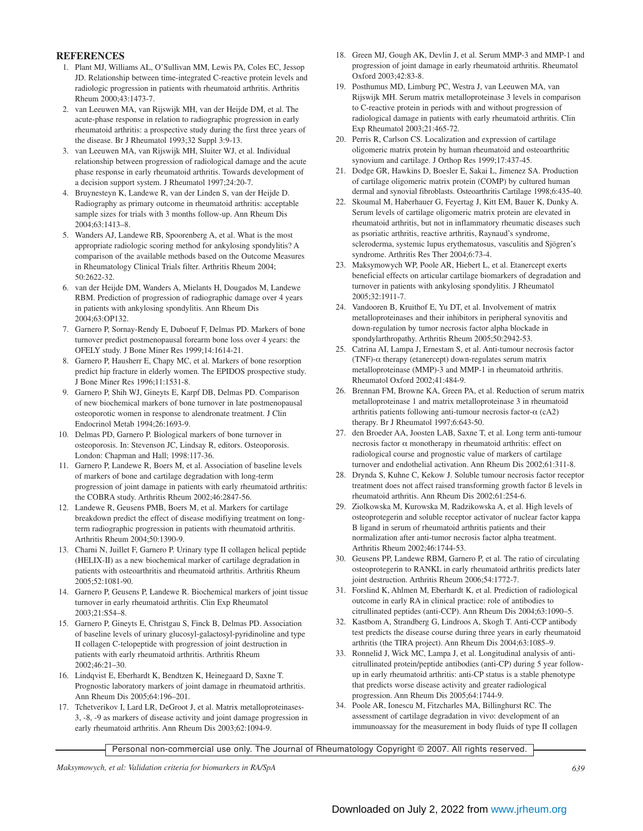## **REFERENCES**

- 1. Plant MJ, Williams AL, O'Sullivan MM, Lewis PA, Coles EC, Jessop JD. Relationship between time-integrated C-reactive protein levels and radiologic progression in patients with rheumatoid arthritis. Arthritis Rheum 2000;43:1473-7.
- 2. van Leeuwen MA, van Rijswijk MH, van der Heijde DM, et al. The acute-phase response in relation to radiographic progression in early rheumatoid arthritis: a prospective study during the first three years of the disease. Br J Rheumatol 1993;32 Suppl 3:9-13.
- 3. van Leeuwen MA, van Rijswijk MH, Sluiter WJ, et al. Individual relationship between progression of radiological damage and the acute phase response in early rheumatoid arthritis. Towards development of a decision support system. J Rheumatol 1997;24:20-7.
- 4. Bruynesteyn K, Landewe R, van der Linden S, van der Heijde D. Radiography as primary outcome in rheumatoid arthritis: acceptable sample sizes for trials with 3 months follow-up. Ann Rheum Dis 2004;63:1413–8.
- 5. Wanders AJ, Landewe RB, Spoorenberg A, et al. What is the most appropriate radiologic scoring method for ankylosing spondylitis? A comparison of the available methods based on the Outcome Measures in Rheumatology Clinical Trials filter. Arthritis Rheum 2004; 50:2622-32.
- 6. van der Heijde DM, Wanders A, Mielants H, Dougados M, Landewe RBM. Prediction of progression of radiographic damage over 4 years in patients with ankylosing spondylitis. Ann Rheum Dis 2004;63:OP132.
- 7. Garnero P, Sornay-Rendy E, Duboeuf F, Delmas PD. Markers of bone turnover predict postmenopausal forearm bone loss over 4 years: the OFELY study. J Bone Miner Res 1999;14:1614-21.
- 8. Garnero P, Hausherr E, Chapy MC, et al. Markers of bone resorption predict hip fracture in elderly women. The EPIDOS prospective study. J Bone Miner Res 1996;11:1531-8.
- 9. Garnero P, Shih WJ, Gineyts E, Karpf DB, Delmas PD. Comparison of new biochemical markers of bone turnover in late postmenopausal osteoporotic women in response to alendronate treatment. J Clin Endocrinol Metab 1994;26:1693-9.
- 10. Delmas PD, Garnero P. Biological markers of bone turnover in osteoporosis. In: Stevenson JC, Lindsay R, editors. Osteoporosis. London: Chapman and Hall; 1998:117-36.
- 11. Garnero P, Landewe R, Boers M, et al. Association of baseline levels of markers of bone and cartilage degradation with long-term progression of joint damage in patients with early rheumatoid arthritis: the COBRA study. Arthritis Rheum 2002;46:2847-56.
- 12. Landewe R, Geusens PMB, Boers M, et al. Markers for cartilage breakdown predict the effect of disease modifiying treatment on longterm radiographic progression in patients with rheumatoid arthritis. Arthritis Rheum 2004;50:1390-9.
- 13. Charni N, Juillet F, Garnero P. Urinary type II collagen helical peptide (HELIX-II) as a new biochemical marker of cartilage degradation in patients with osteoarthritis and rheumatoid arthritis. Arthritis Rheum 2005;52:1081-90.
- 14. Garnero P, Geusens P, Landewe R. Biochemical markers of joint tissue turnover in early rheumatoid arthritis. Clin Exp Rheumatol 2003;21:S54–8.
- 15. Garnero P, Gineyts E, Christgau S, Finck B, Delmas PD. Association of baseline levels of urinary glucosyl-galactosyl-pyridinoline and type II collagen C-telopeptide with progression of joint destruction in patients with early rheumatoid arthritis. Arthritis Rheum 2002;46:21–30.
- 16. Lindqvist E, Eberhardt K, Bendtzen K, Heinegaard D, Saxne T. Prognostic laboratory markers of joint damage in rheumatoid arthritis. Ann Rheum Dis 2005;64:196–201.
- 17. Tchetverikov I, Lard LR, DeGroot J, et al. Matrix metalloproteinases-3, -8, -9 as markers of disease activity and joint damage progression in early rheumatoid arthritis. Ann Rheum Dis 2003;62:1094-9.
- 18. Green MJ, Gough AK, Devlin J, et al. Serum MMP-3 and MMP-1 and progression of joint damage in early rheumatoid arthritis. Rheumatol Oxford 2003;42:83-8.
- 19. Posthumus MD, Limburg PC, Westra J, van Leeuwen MA, van Rijswijk MH. Serum matrix metalloproteinase 3 levels in comparison to C-reactive protein in periods with and without progression of radiological damage in patients with early rheumatoid arthritis. Clin Exp Rheumatol 2003;21:465-72.
- 20. Perris R, Carlson CS. Localization and expression of cartilage oligomeric matrix protein by human rheumatoid and osteoarthritic synovium and cartilage. J Orthop Res 1999;17:437-45.
- 21. Dodge GR, Hawkins D, Boesler E, Sakai L, Jimenez SA. Production of cartilage oligomeric matrix protein (COMP) by cultured human dermal and synovial fibroblasts. Osteoarthritis Cartilage 1998;6:435-40.
- 22. Skoumal M, Haberhauer G, Feyertag J, Kitt EM, Bauer K, Dunky A. Serum levels of cartilage oligomeric matrix protein are elevated in rheumatoid arthritis, but not in inflammatory rheumatic diseases such as psoriatic arthritis, reactive arthritis, Raynaud's syndrome, scleroderma, systemic lupus erythematosus, vasculitis and Sjögren's syndrome. Arthritis Res Ther 2004;6:73-4.
- 23. Maksymowych WP, Poole AR, Hiebert L, et al. Etanercept exerts beneficial effects on articular cartilage biomarkers of degradation and turnover in patients with ankylosing spondylitis. J Rheumatol 2005;32:1911-7.
- 24. Vandooren B, Kruithof E, Yu DT, et al. Involvement of matrix metalloproteinases and their inhibitors in peripheral synovitis and down-regulation by tumor necrosis factor alpha blockade in spondylarthropathy. Arthritis Rheum 2005;50:2942-53.
- 25. Catrina AI, Lampa J, Ernestam S, et al. Anti-tumour necrosis factor (TNF)- $\alpha$  therapy (etanercept) down-regulates serum matrix metalloproteinase (MMP)-3 and MMP-1 in rheumatoid arthritis. Rheumatol Oxford 2002;41:484-9.
- 26. Brennan FM, Browne KA, Green PA, et al. Reduction of serum matrix metalloproteinase 1 and matrix metalloproteinase 3 in rheumatoid arthritis patients following anti-tumour necrosis factor- $\alpha$  (cA2) therapy. Br J Rheumatol 1997;6:643-50.
- 27. den Broeder AA, Joosten LAB, Saxne T, et al. Long term anti-tumour necrosis factor α monotherapy in rheumatoid arthritis: effect on radiological course and prognostic value of markers of cartilage turnover and endothelial activation. Ann Rheum Dis 2002;61:311-8.
- 28. Drynda S, Kuhne C, Kekow J. Soluble tumour necrosis factor receptor treatment does not affect raised transforming growth factor ß levels in rheumatoid arthritis. Ann Rheum Dis 2002;61:254-6.
- 29. Ziolkowska M, Kurowska M, Radzikowska A, et al. High levels of osteoprotegerin and soluble receptor activator of nuclear factor kappa B ligand in serum of rheumatoid arthritis patients and their normalization after anti-tumor necrosis factor alpha treatment. Arthritis Rheum 2002;46:1744-53.
- 30. Geusens PP, Landewe RBM, Garnero P, et al. The ratio of circulating osteoprotegerin to RANKL in early rheumatoid arthritis predicts later joint destruction. Arthritis Rheum 2006;54:1772-7.
- 31. Forslind K, Ahlmen M, Eberhardt K, et al. Prediction of radiological outcome in early RA in clinical practice: role of antibodies to citrullinated peptides (anti-CCP). Ann Rheum Dis 2004;63:1090–5.
- 32. Kastbom A, Strandberg G, Lindroos A, Skogh T. Anti-CCP antibody test predicts the disease course during three years in early rheumatoid arthritis (the TIRA project). Ann Rheum Dis 2004;63:1085–9.
- 33. Ronnelid J, Wick MC, Lampa J, et al. Longitudinal analysis of anticitrullinated protein/peptide antibodies (anti-CP) during 5 year followup in early rheumatoid arthritis: anti-CP status is a stable phenotype that predicts worse disease activity and greater radiological progression. Ann Rheum Dis 2005;64:1744-9.
- 34. Poole AR, Ionescu M, Fitzcharles MA, Billinghurst RC. The assessment of cartilage degradation in vivo: development of an immunoassay for the measurement in body fluids of type II collagen

Personal non-commercial use only. The Journal of Rheumatology Copyright © 2007. All rights reserved.

*Maksymowych, et al: Validation criteria for biomarkers in RA/SpA 639*